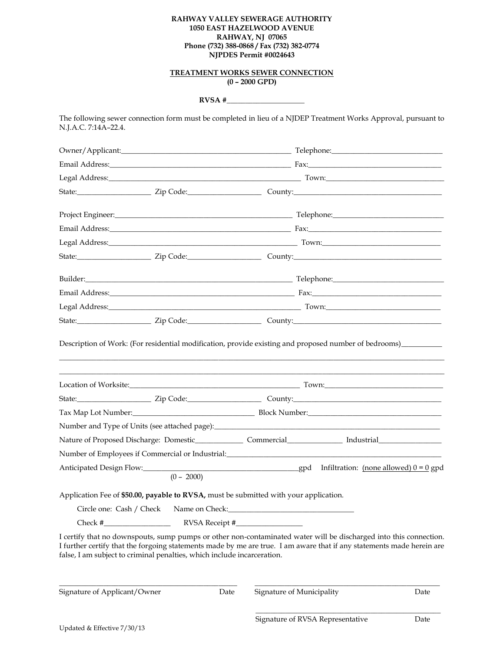## **RAHWAY VALLEY SEWERAGE AUTHORITY 1050 EAST HAZELWOOD AVENUE RAHWAY, NJ 07065 Phone (732) 388-0868 / Fax (732) 382-0774 NJPDES Permit #0024643**

## **TREATMENT WORKS SEWER CONNECTION (0 – 2000 GPD)**

## **RVSA #\_\_\_\_\_\_\_\_\_\_\_\_\_\_\_\_\_\_\_\_\_**

The following sewer connection form must be completed in lieu of a NJDEP Treatment Works Approval, pursuant to N.J.A.C. 7:14A–22.4.

|                                                                                                                                  |                                         |      |                           | Email Address: The Contract of the Contract of Text Contract of Text Contract of Text Contract of Text Contract of Text Contract of Text Contract of Text Contract of Text Contract of Text Contract of Text Contract of Text              |
|----------------------------------------------------------------------------------------------------------------------------------|-----------------------------------------|------|---------------------------|--------------------------------------------------------------------------------------------------------------------------------------------------------------------------------------------------------------------------------------------|
|                                                                                                                                  |                                         |      |                           |                                                                                                                                                                                                                                            |
|                                                                                                                                  |                                         |      |                           |                                                                                                                                                                                                                                            |
|                                                                                                                                  |                                         |      |                           |                                                                                                                                                                                                                                            |
|                                                                                                                                  |                                         |      |                           |                                                                                                                                                                                                                                            |
|                                                                                                                                  |                                         |      |                           |                                                                                                                                                                                                                                            |
|                                                                                                                                  |                                         |      |                           |                                                                                                                                                                                                                                            |
|                                                                                                                                  |                                         |      |                           |                                                                                                                                                                                                                                            |
|                                                                                                                                  |                                         |      |                           |                                                                                                                                                                                                                                            |
|                                                                                                                                  |                                         |      |                           | Tax Map Lot Number: 1990 1991 March 2014 Block Number: 1991 Map Lot Number: 1991 Map Lot Number: 1991 Map Lot Number: 1991 Map 2014 Map 2014 Map 2014 Map 2014 Map 2014 Map 2014 Map 2014 Map 2014 Map 2014 Map 2014 Map 2014              |
|                                                                                                                                  |                                         |      |                           |                                                                                                                                                                                                                                            |
|                                                                                                                                  |                                         |      |                           |                                                                                                                                                                                                                                            |
| Number of Employees if Commercial or Industrial: University of Employees of Employees of Employees and Commercial or Industrial: |                                         |      |                           |                                                                                                                                                                                                                                            |
|                                                                                                                                  | $(0 - 2000)$                            |      |                           |                                                                                                                                                                                                                                            |
| Application Fee of \$50.00, payable to RVSA, must be submitted with your application.                                            |                                         |      |                           |                                                                                                                                                                                                                                            |
|                                                                                                                                  | Circle one: Cash / Check Name on Check: |      |                           |                                                                                                                                                                                                                                            |
| $Check \#$                                                                                                                       |                                         |      |                           |                                                                                                                                                                                                                                            |
| false, I am subject to criminal penalties, which include incarceration.                                                          |                                         |      |                           | I certify that no downspouts, sump pumps or other non-contaminated water will be discharged into this connection.<br>I further certify that the forgoing statements made by me are true. I am aware that if any statements made herein are |
| Signature of Applicant/Owner                                                                                                     |                                         | Date | Signature of Municipality | Date                                                                                                                                                                                                                                       |

\_\_\_\_\_\_\_\_\_\_\_\_\_\_\_\_\_\_\_\_\_\_\_\_\_\_\_\_\_\_\_\_\_\_\_\_\_\_\_\_\_\_\_\_\_\_\_\_\_\_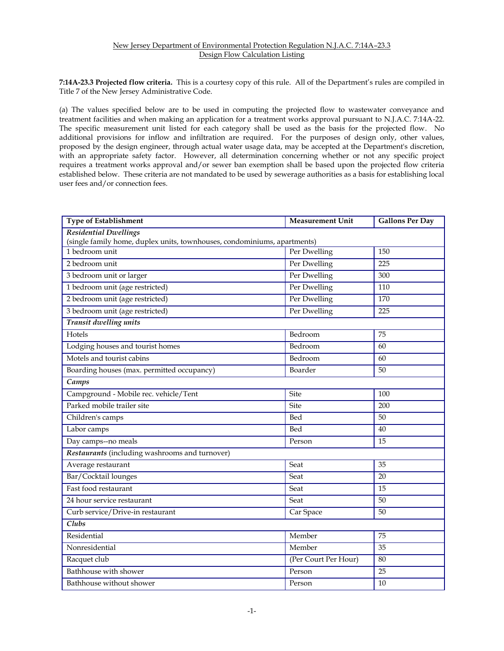## New Jersey Department of Environmental Protection Regulation N.J.A.C. 7:14A–23.3 Design Flow Calculation Listing

**7:14A-23.3 Projected flow criteria.** This is a courtesy copy of this rule. All of the Department's rules are compiled in Title 7 of the New Jersey Administrative Code.

(a) The values specified below are to be used in computing the projected flow to wastewater conveyance and treatment facilities and when making an application for a treatment works approval pursuant to N.J.A.C. 7:14A-22. The specific measurement unit listed for each category shall be used as the basis for the projected flow. No additional provisions for inflow and infiltration are required. For the purposes of design only, other values, proposed by the design engineer, through actual water usage data, may be accepted at the Department's discretion, with an appropriate safety factor. However, all determination concerning whether or not any specific project requires a treatment works approval and/or sewer ban exemption shall be based upon the projected flow criteria established below. These criteria are not mandated to be used by sewerage authorities as a basis for establishing local user fees and/or connection fees.

| <b>Type of Establishment</b>                                                                             | <b>Measurement Unit</b> | <b>Gallons Per Day</b> |  |  |  |
|----------------------------------------------------------------------------------------------------------|-------------------------|------------------------|--|--|--|
| <b>Residential Dwellings</b><br>(single family home, duplex units, townhouses, condominiums, apartments) |                         |                        |  |  |  |
| 1 bedroom unit                                                                                           | Per Dwelling            | 150                    |  |  |  |
| 2 bedroom unit                                                                                           | Per Dwelling            | 225                    |  |  |  |
| 3 bedroom unit or larger                                                                                 | Per Dwelling            | 300                    |  |  |  |
| 1 bedroom unit (age restricted)                                                                          | Per Dwelling            | 110                    |  |  |  |
| 2 bedroom unit (age restricted)                                                                          | Per Dwelling            | 170                    |  |  |  |
| 3 bedroom unit (age restricted)                                                                          | Per Dwelling            | 225                    |  |  |  |
| Transit dwelling units                                                                                   |                         |                        |  |  |  |
| <b>Hotels</b>                                                                                            | Bedroom                 | 75                     |  |  |  |
| Lodging houses and tourist homes                                                                         | Bedroom                 | 60                     |  |  |  |
| Motels and tourist cabins                                                                                | Bedroom                 | 60                     |  |  |  |
|                                                                                                          |                         |                        |  |  |  |
| Boarding houses (max. permitted occupancy)                                                               | Boarder                 | 50                     |  |  |  |
| Camps                                                                                                    |                         |                        |  |  |  |
| Campground - Mobile rec. vehicle/Tent                                                                    | Site                    | 100                    |  |  |  |
| Parked mobile trailer site                                                                               | Site                    | 200                    |  |  |  |
| Children's camps                                                                                         | Bed                     | 50                     |  |  |  |
| Labor camps                                                                                              | Bed                     | 40                     |  |  |  |
| Day camps--no meals                                                                                      | Person                  | 15                     |  |  |  |
| Restaurants (including washrooms and turnover)                                                           |                         |                        |  |  |  |
| Average restaurant                                                                                       | Seat                    | 35                     |  |  |  |
| Bar/Cocktail lounges                                                                                     | Seat                    | 20                     |  |  |  |
| Fast food restaurant                                                                                     | Seat                    | 15                     |  |  |  |
| 24 hour service restaurant                                                                               | Seat                    | 50                     |  |  |  |
| Curb service/Drive-in restaurant                                                                         | Car Space               | 50                     |  |  |  |
| $\overline{\text{Clubs}}$                                                                                |                         |                        |  |  |  |
| Residential                                                                                              | Member                  | 75                     |  |  |  |
| Nonresidential                                                                                           | Member                  | 35                     |  |  |  |
| Racquet club                                                                                             | (Per Court Per Hour)    | 80                     |  |  |  |
| Bathhouse with shower                                                                                    | Person                  | 25                     |  |  |  |
| Bathhouse without shower                                                                                 | Person                  | 10                     |  |  |  |